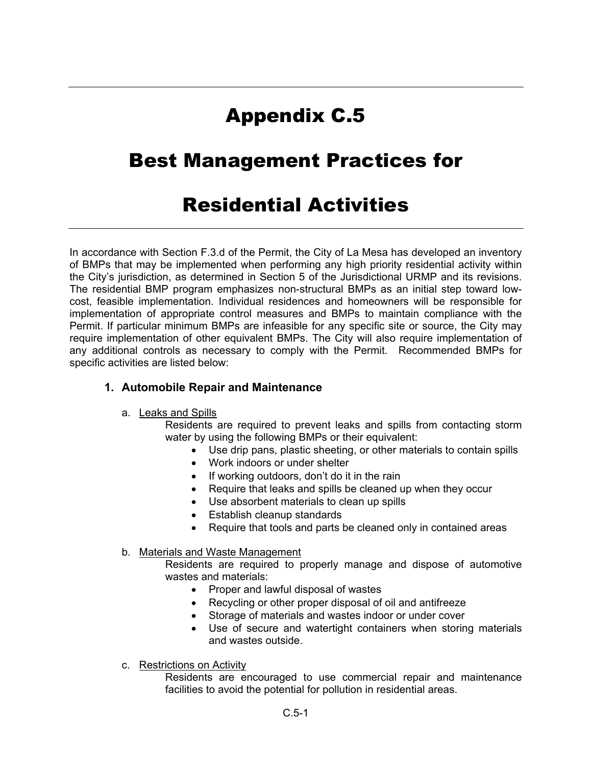# Appendix C.5

# Best Management Practices for

# Residential Activities

In accordance with Section F.3.d of the Permit, the City of La Mesa has developed an inventory of BMPs that may be implemented when performing any high priority residential activity within the City's jurisdiction, as determined in Section 5 of the Jurisdictional URMP and its revisions. The residential BMP program emphasizes non-structural BMPs as an initial step toward lowcost, feasible implementation. Individual residences and homeowners will be responsible for implementation of appropriate control measures and BMPs to maintain compliance with the Permit. If particular minimum BMPs are infeasible for any specific site or source, the City may require implementation of other equivalent BMPs. The City will also require implementation of any additional controls as necessary to comply with the Permit. Recommended BMPs for specific activities are listed below:

## **1. Automobile Repair and Maintenance**

### a. Leaks and Spills

Residents are required to prevent leaks and spills from contacting storm water by using the following BMPs or their equivalent:

- Use drip pans, plastic sheeting, or other materials to contain spills
- Work indoors or under shelter
- If working outdoors, don't do it in the rain
- Require that leaks and spills be cleaned up when they occur
- Use absorbent materials to clean up spills
- Establish cleanup standards
- Require that tools and parts be cleaned only in contained areas

### b. Materials and Waste Management

Residents are required to properly manage and dispose of automotive wastes and materials:

- Proper and lawful disposal of wastes
- Recycling or other proper disposal of oil and antifreeze
- Storage of materials and wastes indoor or under cover
- Use of secure and watertight containers when storing materials and wastes outside.

## c. Restrictions on Activity

Residents are encouraged to use commercial repair and maintenance facilities to avoid the potential for pollution in residential areas.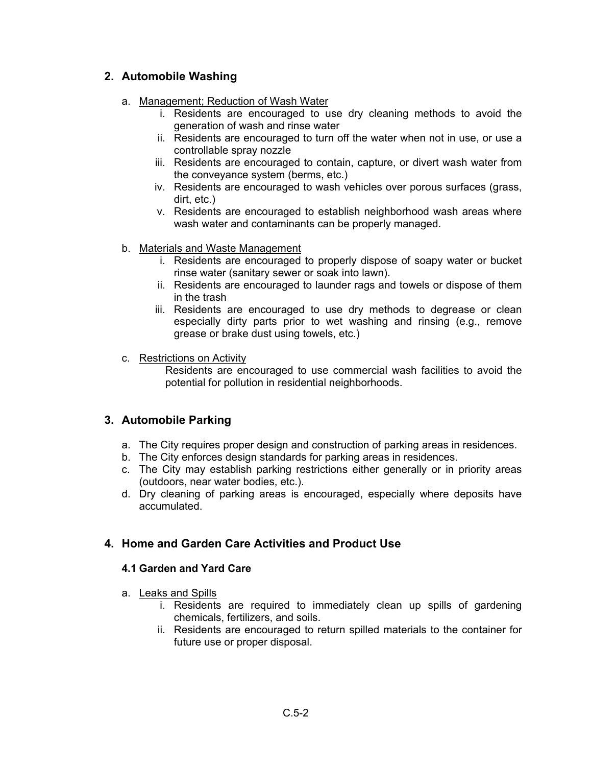# **2. Automobile Washing**

- a. Management; Reduction of Wash Water
	- i. Residents are encouraged to use dry cleaning methods to avoid the generation of wash and rinse water
	- ii. Residents are encouraged to turn off the water when not in use, or use a controllable spray nozzle
	- iii. Residents are encouraged to contain, capture, or divert wash water from the conveyance system (berms, etc.)
	- iv. Residents are encouraged to wash vehicles over porous surfaces (grass, dirt, etc.)
	- v. Residents are encouraged to establish neighborhood wash areas where wash water and contaminants can be properly managed.
- b. Materials and Waste Management
	- i. Residents are encouraged to properly dispose of soapy water or bucket rinse water (sanitary sewer or soak into lawn).
	- ii. Residents are encouraged to launder rags and towels or dispose of them in the trash
	- iii. Residents are encouraged to use dry methods to degrease or clean especially dirty parts prior to wet washing and rinsing (e.g., remove grease or brake dust using towels, etc.)
- c. Restrictions on Activity

Residents are encouraged to use commercial wash facilities to avoid the potential for pollution in residential neighborhoods.

# **3. Automobile Parking**

- a. The City requires proper design and construction of parking areas in residences.
- b. The City enforces design standards for parking areas in residences.
- c. The City may establish parking restrictions either generally or in priority areas (outdoors, near water bodies, etc.).
- d. Dry cleaning of parking areas is encouraged, especially where deposits have accumulated.

# **4. Home and Garden Care Activities and Product Use**

### **4.1 Garden and Yard Care**

- a. Leaks and Spills
	- i. Residents are required to immediately clean up spills of gardening chemicals, fertilizers, and soils.
	- ii. Residents are encouraged to return spilled materials to the container for future use or proper disposal.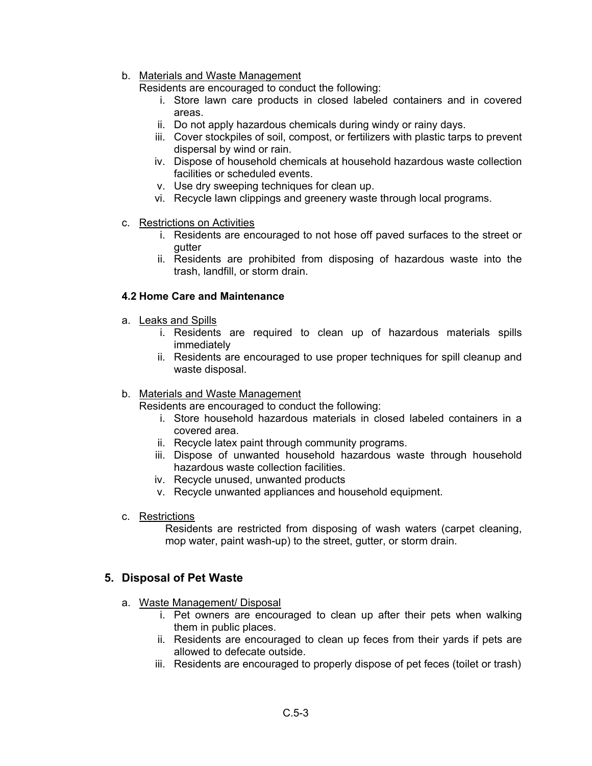### b. Materials and Waste Management

Residents are encouraged to conduct the following:

- i. Store lawn care products in closed labeled containers and in covered areas.
- ii. Do not apply hazardous chemicals during windy or rainy days.
- iii. Cover stockpiles of soil, compost, or fertilizers with plastic tarps to prevent dispersal by wind or rain.
- iv. Dispose of household chemicals at household hazardous waste collection facilities or scheduled events.
- v. Use dry sweeping techniques for clean up.
- vi. Recycle lawn clippings and greenery waste through local programs.
- c. Restrictions on Activities
	- i. Residents are encouraged to not hose off paved surfaces to the street or gutter
	- ii. Residents are prohibited from disposing of hazardous waste into the trash, landfill, or storm drain.

### **4.2 Home Care and Maintenance**

- a. Leaks and Spills
	- i. Residents are required to clean up of hazardous materials spills immediately
	- ii. Residents are encouraged to use proper techniques for spill cleanup and waste disposal.

### b. Materials and Waste Management

Residents are encouraged to conduct the following:

- i. Store household hazardous materials in closed labeled containers in a covered area.
- ii. Recycle latex paint through community programs.
- iii. Dispose of unwanted household hazardous waste through household hazardous waste collection facilities.
- iv. Recycle unused, unwanted products
- v. Recycle unwanted appliances and household equipment.
- c. Restrictions

Residents are restricted from disposing of wash waters (carpet cleaning, mop water, paint wash-up) to the street, gutter, or storm drain.

## **5. Disposal of Pet Waste**

- a. Waste Management/ Disposal
	- i. Pet owners are encouraged to clean up after their pets when walking them in public places.
	- ii. Residents are encouraged to clean up feces from their yards if pets are allowed to defecate outside.
	- iii. Residents are encouraged to properly dispose of pet feces (toilet or trash)